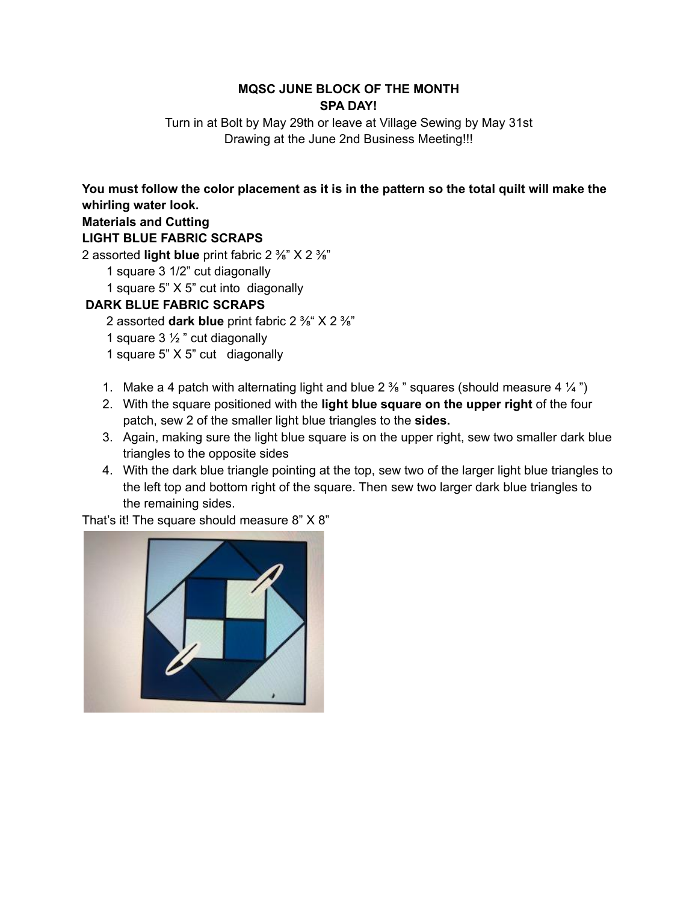## **MQSC JUNE BLOCK OF THE MONTH SPA DAY!**

Turn in at Bolt by May 29th or leave at Village Sewing by May 31st Drawing at the June 2nd Business Meeting!!!

You must follow the color placement as it is in the pattern so the total quilt will make the **whirling water look.**

## **Materials and Cutting**

## **LIGHT BLUE FABRIC SCRAPS**

2 assorted **light blue** print fabric 2 ⅜" X 2 ⅜"

- 1 square 3 1/2" cut diagonally
- 1 square 5" X 5" cut into diagonally

## **DARK BLUE FABRIC SCRAPS**

- 2 assorted **dark blue** print fabric 2 ⅜" X 2 ⅜"
- 1 square  $3\frac{1}{2}$  " cut diagonally
- 1 square 5" X 5" cut diagonally
- 1. Make a 4 patch with alternating light and blue 2  $\frac{3}{8}$  " squares (should measure 4  $\frac{1}{4}$ ")
- 2. With the square positioned with the **light blue square on the upper right** of the four patch, sew 2 of the smaller light blue triangles to the **sides.**
- 3. Again, making sure the light blue square is on the upper right, sew two smaller dark blue triangles to the opposite sides
- 4. With the dark blue triangle pointing at the top, sew two of the larger light blue triangles to the left top and bottom right of the square. Then sew two larger dark blue triangles to the remaining sides.

That's it! The square should measure 8" X 8"